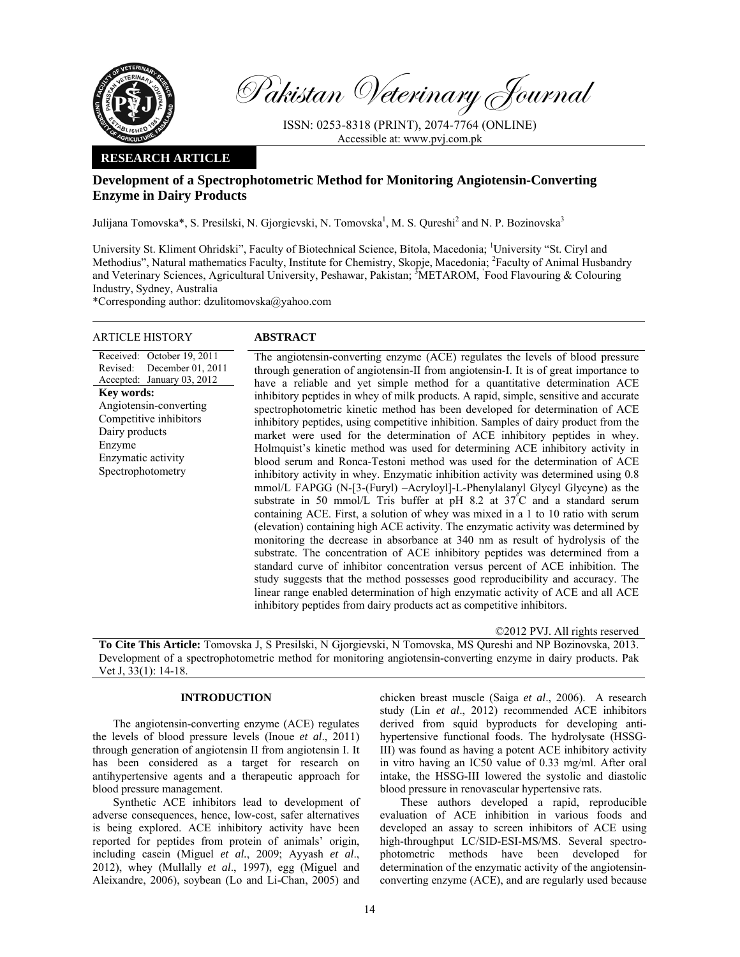

Pakistan Veterinary Journal

ISSN: 0253-8318 (PRINT), 2074-7764 (ONLINE) Accessible at: www.pvj.com.pk

# **RESEARCH ARTICLE**

# **Development of a Spectrophotometric Method for Monitoring Angiotensin-Converting Enzyme in Dairy Products**

Julijana Tomovska\*, S. Presilski, N. Gjorgievski, N. Tomovska<sup>1</sup>, M. S. Qureshi<sup>2</sup> and N. P. Bozinovska<sup>3</sup>

University St. Kliment Ohridski", Faculty of Biotechnical Science, Bitola, Macedonia; <sup>1</sup>University "St. Ciryl and Methodius", Natural mathematics Faculty, Institute for Chemistry, Skopje, Macedonia; <sup>2</sup>Faculty of Animal Husbandry and Veterinary Sciences, Agricultural University, Peshawar, Pakistan; <sup>3</sup>METAROM, Food Flavouring & Colouring Industry, Sydney, Australia

\*Corresponding author: dzulitomovska@yahoo.com

| ARTICLE HISTORY                                                                                                                                                                                                                           | <b>ABSTRACT</b>                                                                                                                                                                                                                                                                                                                                                                                                                                                                                                                                                                                                                                                                                                                                                                                                                                                                                                                                                                                                                                                                                                                                                                                                                                                                                                                                                                                                                                                                                                                                                                                                                                                                                                      |
|-------------------------------------------------------------------------------------------------------------------------------------------------------------------------------------------------------------------------------------------|----------------------------------------------------------------------------------------------------------------------------------------------------------------------------------------------------------------------------------------------------------------------------------------------------------------------------------------------------------------------------------------------------------------------------------------------------------------------------------------------------------------------------------------------------------------------------------------------------------------------------------------------------------------------------------------------------------------------------------------------------------------------------------------------------------------------------------------------------------------------------------------------------------------------------------------------------------------------------------------------------------------------------------------------------------------------------------------------------------------------------------------------------------------------------------------------------------------------------------------------------------------------------------------------------------------------------------------------------------------------------------------------------------------------------------------------------------------------------------------------------------------------------------------------------------------------------------------------------------------------------------------------------------------------------------------------------------------------|
| Received: October 19, 2011<br>December 01, 2011<br>Revised:<br>Accepted: January 03, 2012<br><b>Key words:</b><br>Angiotensin-converting<br>Competitive inhibitors<br>Dairy products<br>Enzyme<br>Enzymatic activity<br>Spectrophotometry | The angiotensin-converting enzyme (ACE) regulates the levels of blood pressure<br>through generation of angiotensin-II from angiotensin-I. It is of great importance to<br>have a reliable and yet simple method for a quantitative determination ACE<br>inhibitory peptides in whey of milk products. A rapid, simple, sensitive and accurate<br>spectrophotometric kinetic method has been developed for determination of ACE<br>inhibitory peptides, using competitive inhibition. Samples of dairy product from the<br>market were used for the determination of ACE inhibitory peptides in whey.<br>Holmquist's kinetic method was used for determining ACE inhibitory activity in<br>blood serum and Ronca-Testoni method was used for the determination of ACE<br>inhibitory activity in whey. Enzymatic inhibition activity was determined using 0.8<br>mmol/L FAPGG (N-[3-(Furyl) -Acryloyl]-L-Phenylalanyl Glycyl Glycyne) as the<br>substrate in 50 mmol/L Tris buffer at pH 8.2 at $37^{\circ}$ C and a standard serum<br>containing ACE. First, a solution of whey was mixed in a 1 to 10 ratio with serum<br>(elevation) containing high ACE activity. The enzymatic activity was determined by<br>monitoring the decrease in absorbance at 340 nm as result of hydrolysis of the<br>substrate. The concentration of ACE inhibitory peptides was determined from a<br>standard curve of inhibitor concentration versus percent of ACE inhibition. The<br>study suggests that the method possesses good reproducibility and accuracy. The<br>linear range enabled determination of high enzymatic activity of ACE and all ACE<br>inhibitory peptides from dairy products act as competitive inhibitors. |

©2012 PVJ. All rights reserved

**To Cite This Article:** Tomovska J, S Presilski, N Gjorgievski, N Tomovska, MS Qureshi and NP Bozinovska, 2013. Development of a spectrophotometric method for monitoring angiotensin-converting enzyme in dairy products. Pak Vet J, 33(1): 14-18.

## **INTRODUCTION**

The angiotensin-converting enzyme (ACE) regulates the levels of blood pressure levels (Inoue *et al*., 2011) through generation of angiotensin II from angiotensin I. It has been considered as a target for research on antihypertensive agents and a therapeutic approach for blood pressure management.

Synthetic ACE inhibitors lead to development of adverse consequences, hence, low-cost, safer alternatives is being explored. ACE inhibitory activity have been reported for peptides from protein of animals' origin, including casein (Miguel *et al.*, 2009; Ayyash *et al*., 2012), whey (Mullally *et al*., 1997), egg (Miguel and Aleixandre, 2006), soybean (Lo and Li-Chan, 2005) and

chicken breast muscle (Saiga *et al*., 2006). A research study (Lin *et al*., 2012) recommended ACE inhibitors derived from squid byproducts for developing antihypertensive functional foods. The hydrolysate (HSSG-III) was found as having a potent ACE inhibitory activity in vitro having an IC50 value of 0.33 mg/ml. After oral intake, the HSSG-III lowered the systolic and diastolic blood pressure in renovascular hypertensive rats.

These authors developed a rapid, reproducible evaluation of ACE inhibition in various foods and developed an assay to screen inhibitors of ACE using high-throughput LC/SID-ESI-MS/MS. Several spectrophotometric methods have been developed for determination of the enzymatic activity of the angiotensinconverting enzyme (ACE), and are regularly used because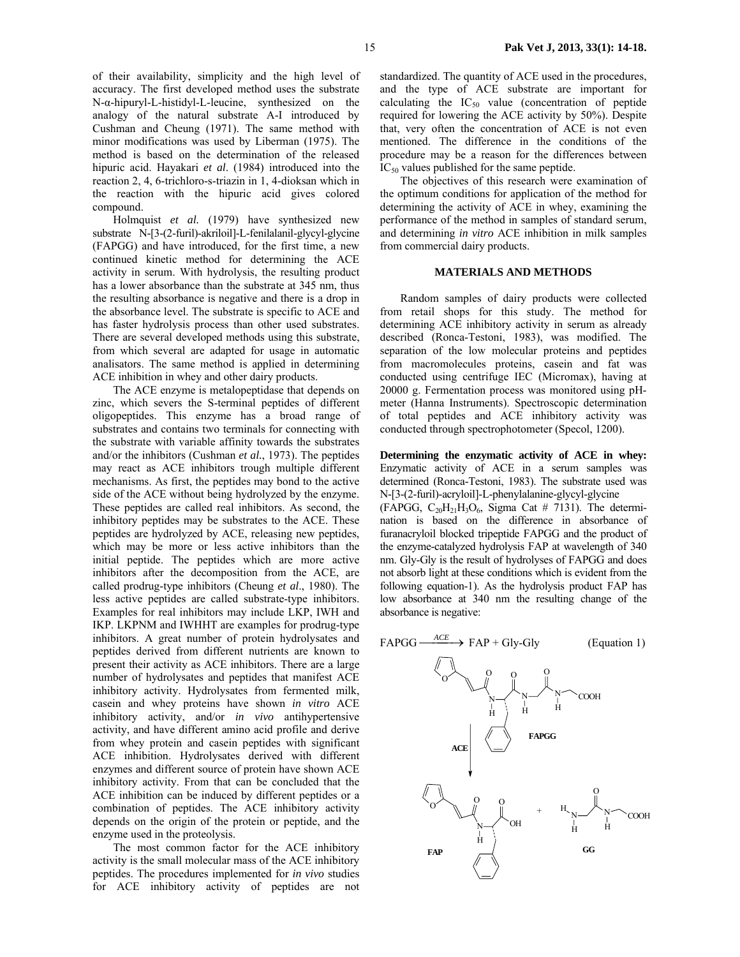of their availability, simplicity and the high level of accuracy. The first developed method uses the substrate N-α-hipuryl-L-histidyl-L-leucine, synthesized on the analogy of the natural substrate A-I introduced by Cushman and Cheung (1971). The same method with minor modifications was used by Liberman (1975). The method is based on the determination of the released hipuric acid. Hayakari *et al*. (1984) introduced into the reaction 2, 4, 6-trichloro-s-triazin in 1, 4-dioksan which in the reaction with the hipuric acid gives colored compound.

Holmquist *et al.* (1979) have synthesized new substrate N-[3-(2-furil)-akriloil]-L-fenilalanil-glycyl-glycine (FAPGG) and have introduced, for the first time, a new continued kinetic method for determining the ACE activity in serum. With hydrolysis, the resulting product has a lower absorbance than the substrate at 345 nm, thus the resulting absorbance is negative and there is a drop in the absorbance level. The substrate is specific to ACE and has faster hydrolysis process than other used substrates. There are several developed methods using this substrate, from which several are adapted for usage in automatic analisators. The same method is applied in determining ACE inhibition in whey and other dairy products.

The ACE enzyme is metalopeptidase that depends on zinc, which severs the S-terminal peptides of different oligopeptides. This enzyme has a broad range of substrates and contains two terminals for connecting with the substrate with variable affinity towards the substrates and/or the inhibitors (Cushman *et al.*, 1973). The peptides may react as ACE inhibitors trough multiple different mechanisms. As first, the peptides may bond to the active side of the ACE without being hydrolyzed by the enzyme. These peptides are called real inhibitors. As second, the inhibitory peptides may be substrates to the ACE. These peptides are hydrolyzed by ACE, releasing new peptides, which may be more or less active inhibitors than the initial peptide. The peptides which are more active inhibitors after the decomposition from the ACE, are called prodrug-type inhibitors (Cheung *et al*., 1980). The less active peptides are called substrate-type inhibitors. Examples for real inhibitors may include LKP, IWH and IKP. LKPNM and IWHHT are examples for prodrug-type inhibitors. A great number of protein hydrolysates and peptides derived from different nutrients are known to present their activity as ACE inhibitors. There are a large number of hydrolysates and peptides that manifest ACE inhibitory activity. Hydrolysates from fermented milk, casein and whey proteins have shown *in vitro* ACE inhibitory activity, and/or *in vivo* antihypertensive activity, and have different amino acid profile and derive from whey protein and casein peptides with significant ACE inhibition. Hydrolysates derived with different enzymes and different source of protein have shown ACE inhibitory activity. From that can be concluded that the ACE inhibition can be induced by different peptides or a combination of peptides. The ACE inhibitory activity depends on the origin of the protein or peptide, and the enzyme used in the proteolysis.

The most common factor for the ACE inhibitory activity is the small molecular mass of the ACE inhibitory peptides. The procedures implemented for *in vivo* studies for ACE inhibitory activity of peptides are not standardized. The quantity of ACE used in the procedures, and the type of ACE substrate are important for calculating the  $IC_{50}$  value (concentration of peptide required for lowering the ACE activity by 50%). Despite that, very often the concentration of ACE is not even mentioned. The difference in the conditions of the procedure may be a reason for the differences between  $IC_{50}$  values published for the same peptide.

The objectives of this research were examination of the optimum conditions for application of the method for determining the activity of ACE in whey, examining the performance of the method in samples of standard serum, and determining *in vitro* ACE inhibition in milk samples from commercial dairy products.

### **MATERIALS AND METHODS**

Random samples of dairy products were collected from retail shops for this study. The method for determining ACE inhibitory activity in serum as already described (Ronca-Testoni, 1983), was modified. The separation of the low molecular proteins and peptides from macromolecules proteins, casein and fat was conducted using centrifuge IEC (Micromax), having at 20000 g. Fermentation process was monitored using pHmeter (Hanna Instruments). Spectroscopic determination of total peptides and ACE inhibitory activity was conducted through spectrophotometer (Specol, 1200).

**Determining the enzymatic activity of ACE in whey:**  Enzymatic activity of ACE in a serum samples was determined (Ronca-Testoni, 1983). The substrate used was N-[3-(2-furil)-acryloil]-L-phenylalanine-glycyl-glycine (FAPGG,  $C_{20}H_{21}H_3O_6$ , Sigma Cat # 7131). The determination is based on the difference in absorbance of furanacryloil blocked tripeptide FAPGG and the product of the enzyme-catalyzed hydrolysis FAP at wavelength of 340 nm. Gly-Gly is the result of hydrolyses of FAPGG and does not absorb light at these conditions which is evident from the following equation-1). As the hydrolysis product FAP has low absorbance at 340 nm the resulting change of the absorbance is negative:

FAPGG  $\frac{ACE}{}$  $\rightarrow$  FAP + Gly-Gly (Equation 1)

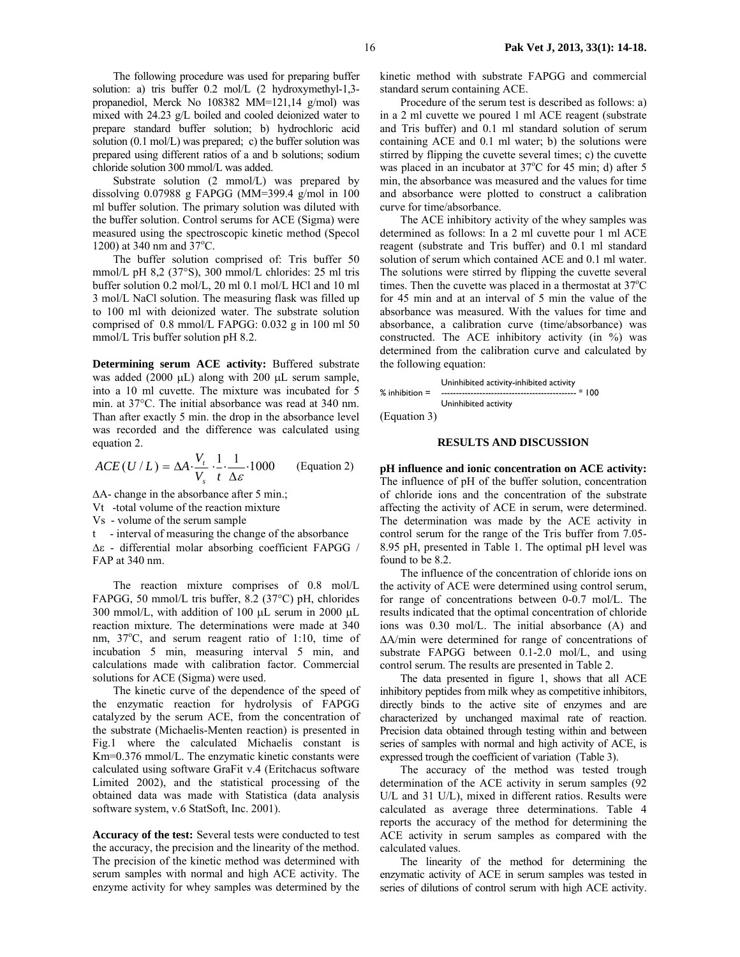The following procedure was used for preparing buffer solution: a) tris buffer 0.2 mol/L (2 hydroxymethyl-1,3 propanediol, Merck No 108382 MM=121,14 g/mol) was mixed with 24.23 g/L boiled and cooled deionized water to prepare standard buffer solution; b) hydrochloric acid solution (0.1 mol/L) was prepared; c) the buffer solution was prepared using different ratios of a and b solutions; sodium chloride solution 300 mmol/L was added.

Substrate solution (2 mmol/L) was prepared by dissolving 0.07988 g FAPGG (MM=399.4 g/mol in 100 ml buffer solution. The primary solution was diluted with the buffer solution. Control serums for ACE (Sigma) were measured using the spectroscopic kinetic method (Specol 1200) at 340 nm and  $37^{\circ}$ C.

The buffer solution comprised of: Tris buffer 50 mmol/L pH 8,2 (37°S), 300 mmol/L chlorides: 25 ml tris buffer solution 0.2 mol/L, 20 ml 0.1 mol/L HCl and 10 ml 3 mol/L NaCl solution. The measuring flask was filled up to 100 ml with deionized water. The substrate solution comprised of 0.8 mmol/L FAPGG: 0.032 g in 100 ml 50 mmol/L Tris buffer solution pH 8.2.

**Determining serum ACE activity:** Buffered substrate was added (2000 µL) along with 200 µL serum sample, into a 10 ml cuvette. The mixture was incubated for 5 min. at 37°C. Тhe initial absorbance was read at 340 nm. Than after exactly 5 min. the drop in the absorbance level was recorded and the difference was calculated using equation 2.

$$
ACE(U/L) = \Delta A \cdot \frac{V_t}{V_s} \cdot \frac{1}{t} \cdot \frac{1}{\Delta \varepsilon} \cdot 1000
$$
 (Equation 2)

∆A- change in the absorbance after 5 min.;

Vt -total volume of the reaction mixture

Vs - volume of the serum sample

t - interval of measuring the change of the absorbance ∆ε - differential molar absorbing coefficient FAPGG / FAP at 340 nm.

The reaction mixture comprises of 0.8 mol/L FAPGG, 50 mmol/L tris buffer, 8.2 (37°C) pH, chlorides 300 mmol/L, with addition of 100 µL serum in 2000 µL reaction mixture. The determinations were made at 340 nm, 37°C, and serum reagent ratio of 1:10, time of incubation 5 min, measuring interval 5 min, and calculations made with calibration factor. Commercial solutions for ACE (Sigma) were used.

The kinetic curve of the dependence of the speed of the enzymatic reaction for hydrolysis of FAPGG catalyzed by the serum ACE, from the concentration of the substrate (Мichaelis-Menten reaction) is presented in Fig.1 where the calculated Michaelis constant is Km=0.376 mmol/L. The enzymatic kinetic constants were calculated using software GraFit v.4 (Eritchacus software Limited 2002), and the statistical processing of the obtained data was made with Statistica (data analysis software system, v.6 StatSoft, Inc. 2001).

**Accuracy of the test:** Several tests were conducted to test the accuracy, the precision and the linearity of the method. The precision of the kinetic method was determined with serum samples with normal and high ACE activity. The enzyme activity for whey samples was determined by the kinetic method with substrate FAPGG and commercial standard serum containing ACE.

Procedure of the serum test is described as follows: a) in a 2 ml cuvette we poured 1 ml ACE reagent (substrate and Tris buffer) and 0.1 ml standard solution of serum containing ACE and 0.1 ml water; b) the solutions were stirred by flipping the cuvette several times; c) the cuvette was placed in an incubator at 37°C for 45 min; d) after 5 min, the absorbance was measured and the values for time and absorbance were plotted to construct a calibration curve for time/absorbance.

The ACE inhibitory activity of the whey samples was determined as follows: In a 2 ml cuvette pour 1 ml ACE reagent (substrate and Tris buffer) and 0.1 ml standard solution of serum which contained ACE and 0.1 ml water. The solutions were stirred by flipping the cuvette several times. Then the cuvette was placed in a thermostat at  $37^{\circ}$ C for 45 min and at an interval of 5 min the value of the absorbance was measured. With the values for time and absorbance, a calibration curve (time/absorbance) was constructed. The ACE inhibitory activity (in %) was determined from the calibration curve and calculated by the following equation:

 Uninhibited activity-inhibited activity % inhibition  $=$ Uninhibited activity

(Equation 3)

#### **RESULTS AND DISCUSSION**

**pH influence and ionic concentration on ACE activity:**  The influence of pH of the buffer solution, concentration of chloride ions and the concentration of the substrate affecting the activity of ACE in serum, were determined. The determination was made by the ACE activity in control serum for the range of the Tris buffer from 7.05- 8.95 pH, presented in Table 1. The optimal pH level was found to be 8.2.

The influence of the concentration of chloride ions on the activity of ACE were determined using control serum, for range of concentrations between 0-0.7 mol/L. The results indicated that the optimal concentration of chloride ions was 0.30 mol/L. The initial absorbance (A) and ∆A/min were determined for range of concentrations of substrate FAPGG between 0.1-2.0 mol/L, and using control serum. The results are presented in Table 2.

The data presented in figure 1, shows that all ACE inhibitory peptides from milk whey as competitive inhibitors, directly binds to the active site of enzymes and are characterized by unchanged maximal rate of reaction. Precision data obtained through testing within and between series of samples with normal and high activity of ACE, is expressed trough the coefficient of variation (Table 3).

The accuracy of the method was tested trough determination of the ACE activity in serum samples (92 U/L and 31 U/L), mixed in different ratios. Results were calculated as average three determinations. Table 4 reports the accuracy of the method for determining the ACE activity in serum samples as compared with the calculated values.

The linearity of the method for determining the enzymatic activity of ACE in serum samples was tested in series of dilutions of control serum with high ACE activity.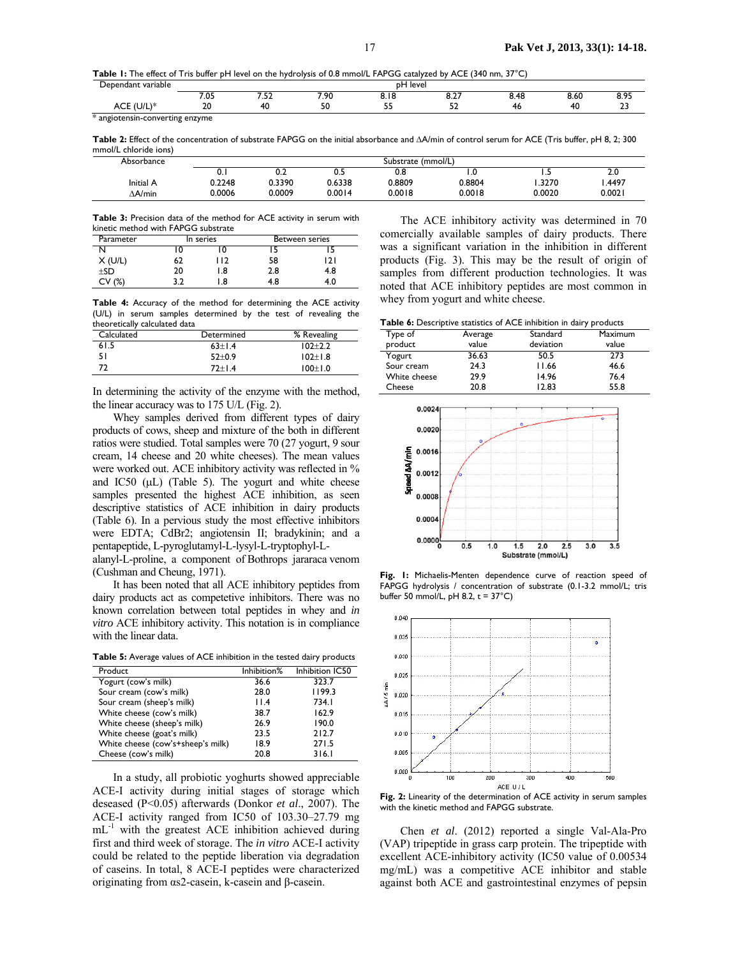**Table 1:** The effect of Tris buffer pH level on the hydrolysis of 0.8 mmol/L FAPGG catalyzed by ACE (340 nm, 37°C)

| variable<br>endant<br>$\lambda$<br>. | leve<br>n⊢<br>.             |   |                |           |            |       |          |    |
|--------------------------------------|-----------------------------|---|----------------|-----------|------------|-------|----------|----|
|                                      | $\sim$<br>د ب               | ے | 7 O.C<br>. 7 U | <b></b>   | ັ<br>$  -$ | 0. TO | o.ou     |    |
| ∼∽<br>◡                              | $\overline{ }$<br><b>ZU</b> |   | - -            | - -<br>-- | --<br>-    |       | Λſ<br>πν | -- |

\* angiotensin-converting enzyme

**Table 2:** Effect of the concentration of substrate FAPGG on the initial absorbance and ∆A/min of control serum for ACE (Tris buffer, pH 8, 2; 300 mmol/L chloride ions)

| Absorbance | Substrate (mmol/L) |        |        |        |        |        |        |
|------------|--------------------|--------|--------|--------|--------|--------|--------|
|            | v. ı               | ◡…     | U.S    | ง.ช    |        | .      | Z.U    |
| Initial A  | 0.2248             | 0.3390 | 0.6338 | J.8809 | 0.8804 | .3270  | .4497  |
| ∆A/min     | 0.0006             | 0.0009 | 0.0014 | 0.0018 | 0.0018 | 0.0020 | 0.0021 |

**Table 3:** Precision data of the method for ACE activity in serum with kinetic method with FAPGG substrate

| Parameter  | In series |       | Between series |     |
|------------|-----------|-------|----------------|-----|
|            | 0         |       |                |     |
| X (U/L)    | 62        | l I 2 | 58             | 21  |
| $+SD$      | 20        | 1.8   | 2.8            | 4.8 |
| (%)<br>CV. | 3.2       | .8    | 4.8            | 4.0 |

**Table 4:** Accuracy of the method for determining the ACE activity (U/L) in serum samples determined by the test of revealing the theoretically calculated data

| Calculated | Determined | % Revealing |
|------------|------------|-------------|
| 61.5       | $63+1.4$   | $102 + 2.2$ |
| 51         | $52+0.9$   | $102 + 1.8$ |
| 77         | $72+1.4$   | $100+1.0$   |

In determining the activity of the enzyme with the method, the linear accuracy was to 175 U/L (Fig. 2).

Whey samples derived from different types of dairy products of cows, sheep and mixture of the both in different ratios were studied. Total samples were 70 (27 yogurt, 9 sour cream, 14 cheese and 20 white cheeses). The mean values were worked out. ACE inhibitory activity was reflected in % and IC50  $(\mu L)$  (Table 5). The yogurt and white cheese samples presented the highest ACE inhibition, as seen descriptive statistics of ACE inhibition in dairy products (Table 6). In a pervious study the most effective inhibitors were EDTA; CdBr2; angiotensin II; bradykinin; and a pentapeptide, L-pyroglutamyl-L-lysyl-L-tryptophyl-L-

alanyl-L-proline, a component of Bothrops jararaca venom (Cushman and Cheung, 1971).

It has been noted that all ACE inhibitory peptides from dairy products act as competetive inhibitors. There was no known correlation between total peptides in whey and *in vitro* ACE inhibitory activity. This notation is in compliance with the linear data.

**Table 5:** Average values of ACE inhibition in the tested dairy products

| Product                           | Inhibition% | Inhibition IC50 |
|-----------------------------------|-------------|-----------------|
| Yogurt (cow's milk)               | 36.6        | 323.7           |
| Sour cream (cow's milk)           | 28.0        | 1199.3          |
| Sour cream (sheep's milk)         | 11.4        | 734.I           |
| White cheese (cow's milk)         | 38.7        | 162.9           |
| White cheese (sheep's milk)       | 26.9        | 190.0           |
| White cheese (goat's milk)        | 23.5        | 212.7           |
| White cheese (cow's+sheep's milk) | 18.9        | 271.5           |
| Cheese (cow's milk)               | 20.8        | 316.1           |

 In a study, all probiotic yoghurts showed appreciable ACE-I activity during initial stages of storage which deseased (P<0.05) afterwards (Donkor *et al*., 2007). The ACE-I activity ranged from IC50 of 103.30–27.79 mg mL<sup>-1</sup> with the greatest ACE inhibition achieved during first and third week of storage. The *in vitro* ACE-I activity could be related to the peptide liberation via degradation of caseins. In total, 8 ACE-I peptides were characterized originating from αs2-casein, k-casein and β-casein.

The ACE inhibitory activity was determined in 70 comercially available samples of dairy products. There was a significant variation in the inhibition in different products (Fig. 3). This may be the result of origin of samples from different production technologies. It was noted that ACE inhibitory peptides are most common in whey from yogurt and white cheese.

**Table 6:** Descriptive statistics of ACE inhibition in dairy products

| Type of      | Average | Standard  | Maximum |
|--------------|---------|-----------|---------|
| product      | value   | deviation | value   |
| Yogurt       | 36.63   | 50.5      | 273     |
| Sour cream   | 24.3    | 11.66     | 46.6    |
| White cheese | 29.9    | 14.96     | 76.4    |
| Cheese       | 20.8    | 12.83     | 55.8    |



**Fig. 1:** Michaelis-Menten dependence curve of reaction speed of FAPGG hydrolysis / concentration of substrate (0.1-3.2 mmol/L; tris buffer 50 mmol/L, pH 8.2,  $t = 37^{\circ}C$ )



**Fig. 2:** Linearity of the determination of ACE activity in serum samples with the kinetic method and FAPGG substrate.

Chen *et al*. (2012) reported a single Val-Ala-Pro (VAP) tripeptide in grass carp protein. The tripeptide with excellent ACE-inhibitory activity (IC50 value of 0.00534 mg/mL) was a competitive ACE inhibitor and stable against both ACE and gastrointestinal enzymes of pepsin